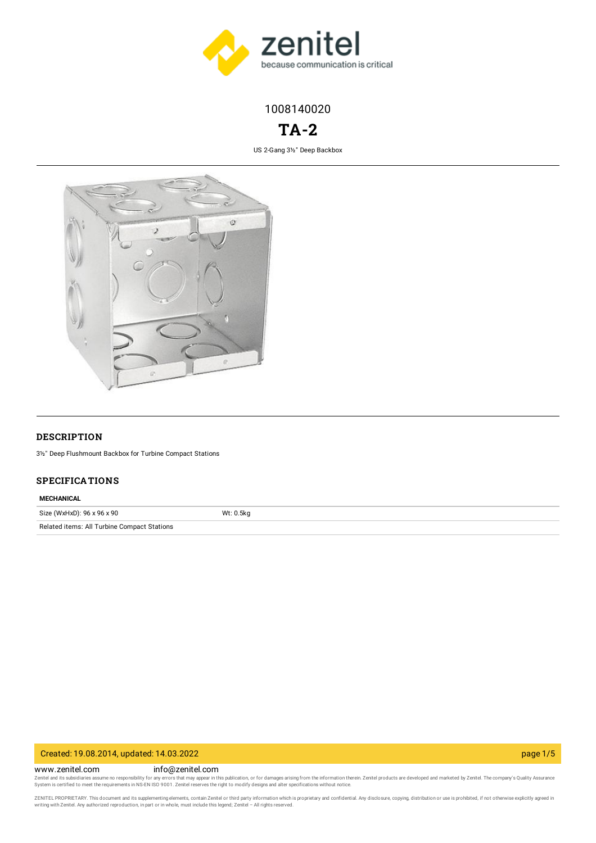

1008140020

# **TA-2**

US 2-Gang 3½" Deep Backbox



### **DESCRIPTION**

3½" Deep Flushmount Backbox for Turbine Compact Stations

### **SPECIFICATIONS**

### **MECHANICAL**

| Size (WxHxD): 96 x 96 x 90                  | Wt: 0.5kg |
|---------------------------------------------|-----------|
| Related items: All Turbine Compact Stations |           |

## Created: 19.08.2014, updated: 14.03.2022 page 1/5

www.zenitel.com info@zenitel.com Zenitel and its subsidiaries assume no responsibility for any errors that may appear in this publication, or for damages arising from the information therein. Zenitel products are developed and marketed by Zenitel. The com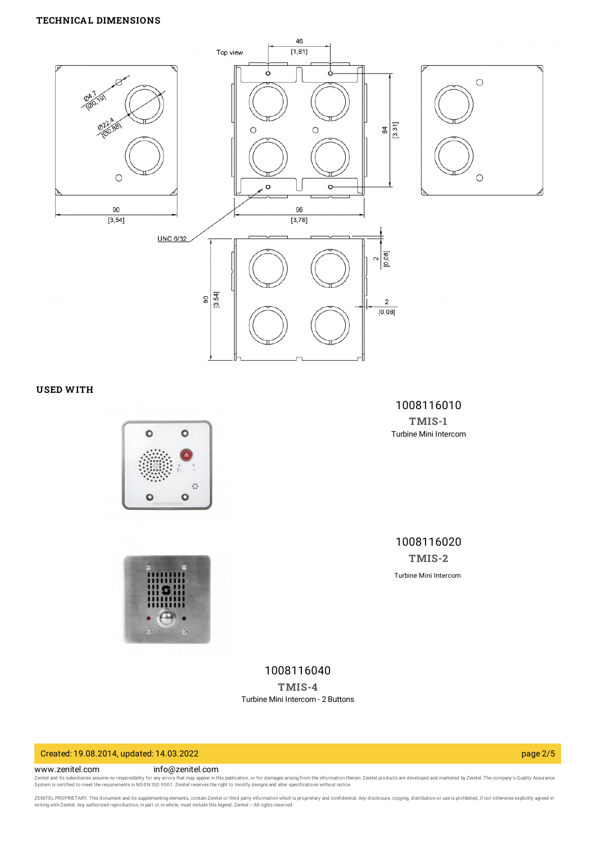### **TECHNICAL DIMENSIONS**



### **USED WITH**





1008116010 **[TMIS-1](https://www.zenitel.com/product/tmis-1)** Turbine Mini Intercom

1008116020 **[TMIS-2](https://www.zenitel.com/product/tmis-2)** Turbine Mini Intercom

1008116040 **[TMIS-4](https://www.zenitel.com/product/tmis-4)** Turbine Mini Intercom - 2 Buttons

## Created: 19.08.2014, updated: 14.03.2022 page 2/5

www.zenitel.com info@zenitel.com

Zenitel and its subsidiaries assume no responsibility for any errors that may appear in this publication, or for damages arising from the information therein. Zenitel products are developed and marketed by Zenitel. The com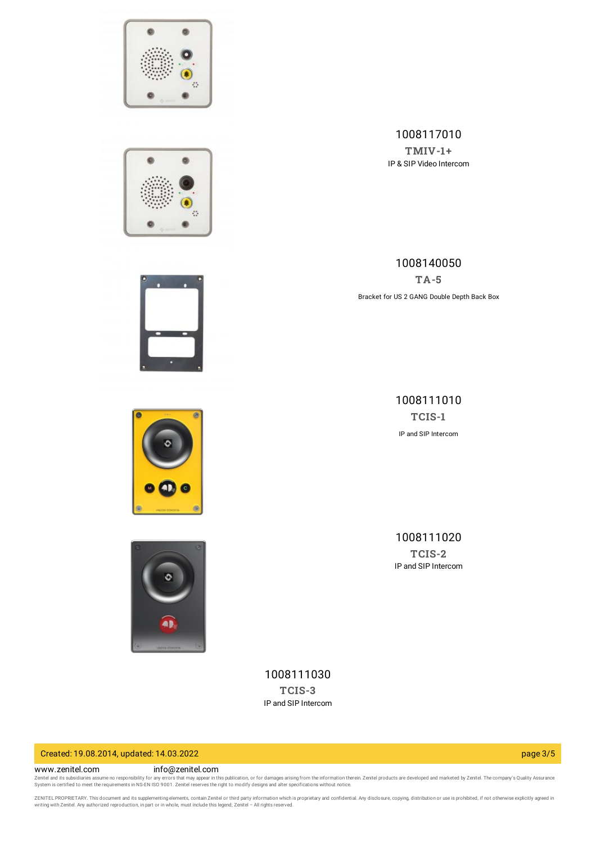





## 1008140050 **[TA-5](https://www.zenitel.com/product/ta-5)** Bracket for US 2 GANG Double Depth Back Box

1008117010



1008111010 **[TCIS-1](https://www.zenitel.com/product/tcis-1)** IP and SIP Intercom

> 1008111020 **[TCIS-2](https://www.zenitel.com/product/tcis-2)** IP and SIP Intercom



1008111030 **[TCIS-3](https://www.zenitel.com/product/tcis-3)** IP and SIP Intercom

## Created: 19.08.2014, updated: 14.03.2022 page 3/5

### www.zenitel.com info@zenitel.com

Zenitel and its subsidiaries assume no responsibility for any errors that may appear in this publication, or for damages arising from the information therein. Zenitel products are developed and marketed by Zenitel. The com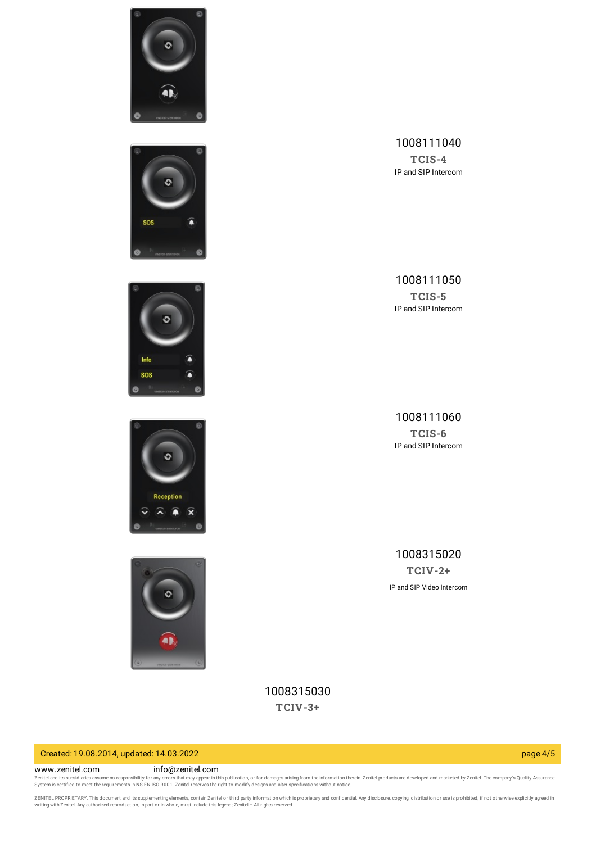









## 1008111040

**[TCIS-4](https://www.zenitel.com/product/tcis-4)** IP and SIP Intercom

## 1008111050

**[TCIS-5](https://www.zenitel.com/product/tcis-5)** IP and SIP Intercom

1008111060 **[TCIS-6](https://www.zenitel.com/product/tcis-6)** IP and SIP Intercom

1008315020 **[TCIV-2+](https://www.zenitel.com/product/tciv-2plus)** IP and SIP Video Intercom

1008315030 **[TCIV-3+](https://www.zenitel.com/product/tciv-3plus)**

## Created: 19.08.2014, updated: 14.03.2022 page 4/5

#### www.zenitel.com info@zenitel.com

Zenitel and its subsidiaries assume no responsibility for any errors that may appear in this publication, or for damages arising from the information therein. Zenitel products are developed and marketed by Zenitel. The com